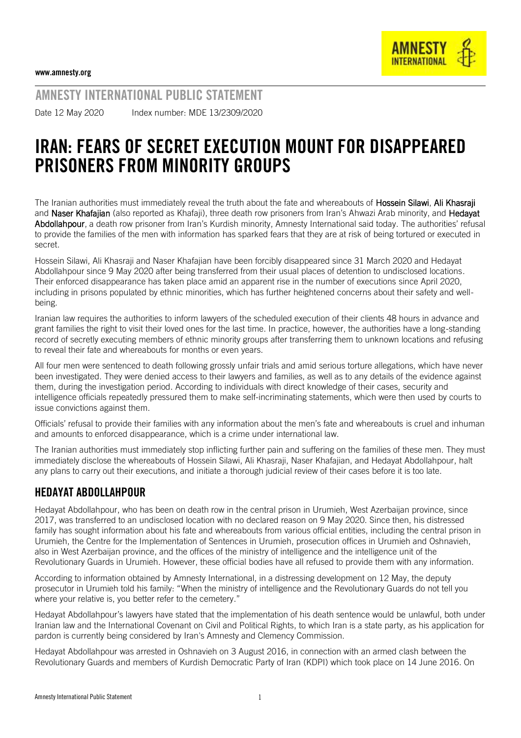AMNESTY INTERNATIONAL PUBLIC STATEMENT Date 12 May 2020 Index number: MDE 13/2309/2020

## IRAN: FEARS OF SECRET EXECUTION MOUNT FOR DISAPPEARED PRISONERS FROM MINORITY GROUPS

The Iranian authorities must immediately reveal the truth about the fate and whereabouts of Hossein Silawi, Ali Khasraji and Naser Khafajian (also reported as Khafaji), three death row prisoners from Iran's Ahwazi Arab minority, and Hedayat Abdollahpour, a death row prisoner from Iran's Kurdish minority, Amnesty International said today. The authorities' refusal to provide the families of the men with information has sparked fears that they are at risk of being tortured or executed in secret.

Hossein Silawi, Ali Khasraji and Naser Khafajian have been forcibly disappeared since 31 March 2020 and Hedayat Abdollahpour since 9 May 2020 after being transferred from their usual places of detention to undisclosed locations. Their enforced disappearance has taken place amid an apparent rise in the number of executions since April 2020, including in prisons populated by ethnic minorities, which has further heightened concerns about their safety and wellbeing.

Iranian law requires the authorities to inform lawyers of the scheduled execution of their clients 48 hours in advance and grant families the right to visit their loved ones for the last time. In practice, however, the authorities have a long-standing record of secretly executing members of ethnic minority groups after transferring them to unknown locations and refusing to reveal their fate and whereabouts for months or even years.

All four men were sentenced to death following grossly unfair trials and amid serious torture allegations, which have never been investigated. They were denied access to their lawyers and families, as well as to any details of the evidence against them, during the investigation period. According to individuals with direct knowledge of their cases, security and intelligence officials repeatedly pressured them to make self-incriminating statements, which were then used by courts to issue convictions against them.

Officials' refusal to provide their families with any information about the men's fate and whereabouts is cruel and inhuman and amounts to enforced disappearance, which is a crime under international law.

The Iranian authorities must immediately stop inflicting further pain and suffering on the families of these men. They must immediately disclose the whereabouts of Hossein Silawi, Ali Khasraji, Naser Khafajian, and Hedayat Abdollahpour, halt any plans to carry out their executions, and initiate a thorough judicial review of their cases before it is too late.

## HEDAYAT ABDOLLAHPOUR

Hedayat Abdollahpour, who has been on death row in the central prison in Urumieh, West Azerbaijan province, since 2017, was transferred to an undisclosed location with no declared reason on 9 May 2020. Since then, his distressed family has sought information about his fate and whereabouts from various official entities, including the central prison in Urumieh, the Centre for the Implementation of Sentences in Urumieh, prosecution offices in Urumieh and Oshnavieh, also in West Azerbaijan province, and the offices of the ministry of intelligence and the intelligence unit of the Revolutionary Guards in Urumieh. However, these official bodies have all refused to provide them with any information.

According to information obtained by Amnesty International, in a distressing development on 12 May, the deputy prosecutor in Urumieh told his family: "When the ministry of intelligence and the Revolutionary Guards do not tell you where your relative is, you better refer to the cemetery."

Hedayat Abdollahpour's lawyers have stated that the implementation of his death sentence would be unlawful, both under Iranian law and the International Covenant on Civil and Political Rights, to which Iran is a state party, as his application for pardon is currently being considered by Iran's Amnesty and Clemency Commission.

Hedayat Abdollahpour was arrested in Oshnavieh on 3 August 2016, in connection with an armed clash between the Revolutionary Guards and members of Kurdish Democratic Party of Iran (KDPI) which took place on 14 June 2016. On